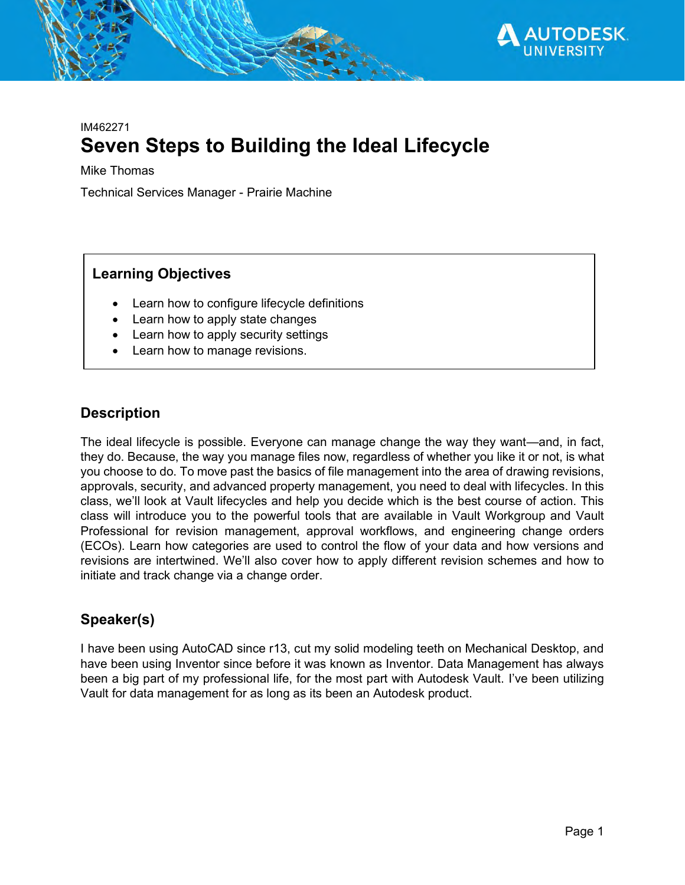

## IM462271 **Seven Steps to Building the Ideal Lifecycle**

Mike Thomas

Technical Services Manager - Prairie Machine

## **Learning Objectives**

- Learn how to configure lifecycle definitions
- Learn how to apply state changes
- Learn how to apply security settings
- Learn how to manage revisions.

### **Description**

The ideal lifecycle is possible. Everyone can manage change the way they want—and, in fact, they do. Because, the way you manage files now, regardless of whether you like it or not, is what you choose to do. To move past the basics of file management into the area of drawing revisions, approvals, security, and advanced property management, you need to deal with lifecycles. In this class, we'll look at Vault lifecycles and help you decide which is the best course of action. This class will introduce you to the powerful tools that are available in Vault Workgroup and Vault Professional for revision management, approval workflows, and engineering change orders (ECOs). Learn how categories are used to control the flow of your data and how versions and revisions are intertwined. We'll also cover how to apply different revision schemes and how to initiate and track change via a change order.

## **Speaker(s)**

I have been using AutoCAD since r13, cut my solid modeling teeth on Mechanical Desktop, and have been using Inventor since before it was known as Inventor. Data Management has always been a big part of my professional life, for the most part with Autodesk Vault. I've been utilizing Vault for data management for as long as its been an Autodesk product.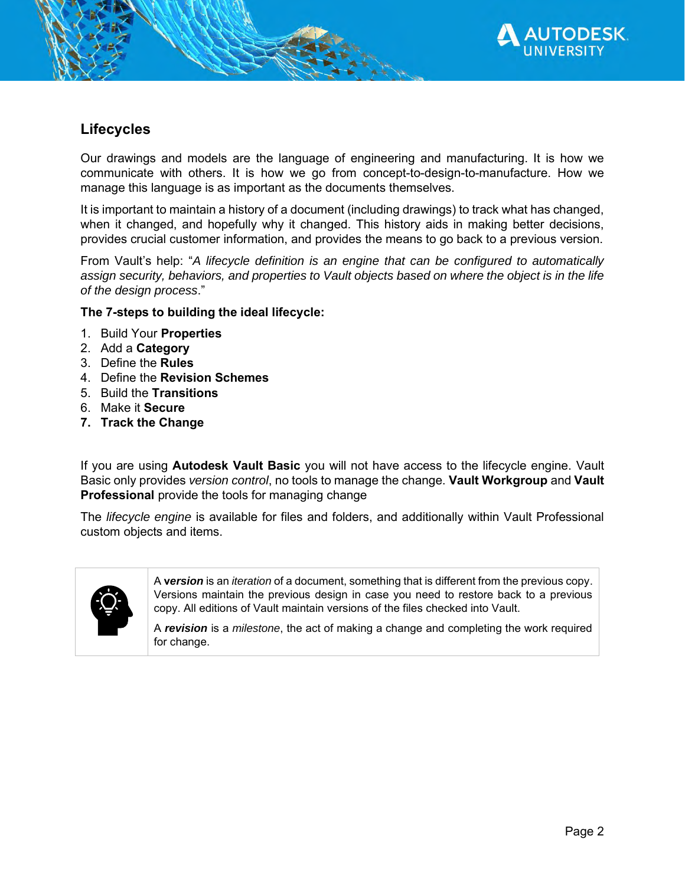

## **Lifecycles**

Our drawings and models are the language of engineering and manufacturing. It is how we communicate with others. It is how we go from concept-to-design-to-manufacture. How we manage this language is as important as the documents themselves.

It is important to maintain a history of a document (including drawings) to track what has changed, when it changed, and hopefully why it changed. This history aids in making better decisions, provides crucial customer information, and provides the means to go back to a previous version.

From Vault's help: "*A lifecycle definition is an engine that can be configured to automatically assign security, behaviors, and properties to Vault objects based on where the object is in the life of the design process*."

**The 7-steps to building the ideal lifecycle:**

- 1. Build Your **Properties**
- 2. Add a **Category**
- 3. Define the **Rules**
- 4. Define the **Revision Schemes**
- 5. Build the **Transitions**
- 6. Make it **Secure**
- **7. Track the Change**

If you are using **Autodesk Vault Basic** you will not have access to the lifecycle engine. Vault Basic only provides *version control*, no tools to manage the change. **Vault Workgroup** and **Vault Professional** provide the tools for managing change

The *lifecycle engine* is available for files and folders, and additionally within Vault Professional custom objects and items.



A **v***ersion* is an *iteration* of a document, something that is different from the previous copy. Versions maintain the previous design in case you need to restore back to a previous copy. All editions of Vault maintain versions of the files checked into Vault.

A *revision* is a *milestone*, the act of making a change and completing the work required for change.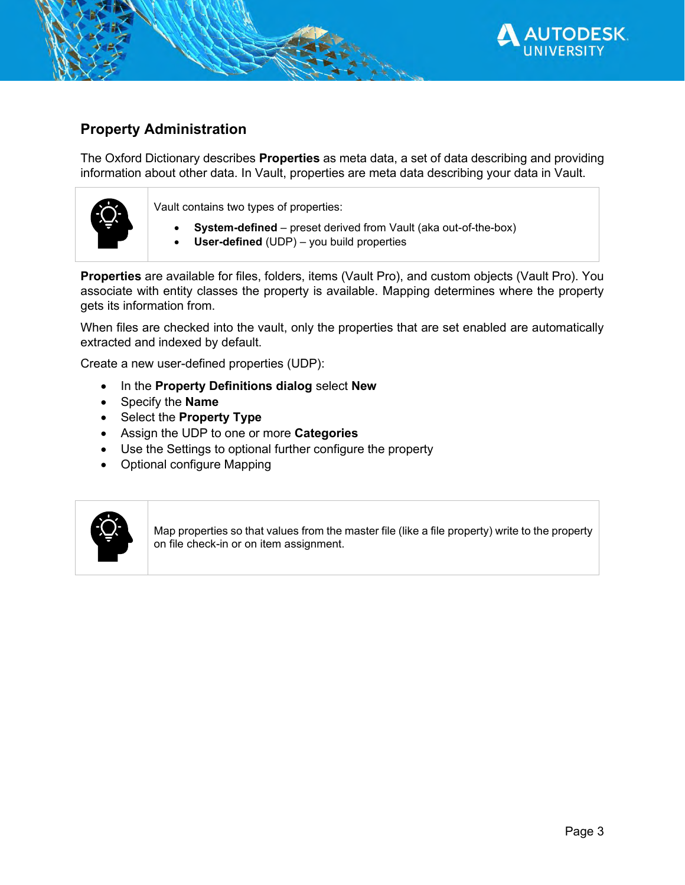

## **Property Administration**

The Oxford Dictionary describes **Properties** as meta data, a set of data describing and providing information about other data. In Vault, properties are meta data describing your data in Vault.



Vault contains two types of properties:

- **System-defined** preset derived from Vault (aka out-of-the-box)
- **User-defined** (UDP) you build properties

**Properties** are available for files, folders, items (Vault Pro), and custom objects (Vault Pro). You associate with entity classes the property is available. Mapping determines where the property gets its information from.

When files are checked into the vault, only the properties that are set enabled are automatically extracted and indexed by default.

Create a new user-defined properties (UDP):

- In the **Property Definitions dialog** select **New**
- Specify the **Name**
- Select the **Property Type**
- Assign the UDP to one or more **Categories**
- Use the Settings to optional further configure the property
- Optional configure Mapping



Map properties so that values from the master file (like a file property) write to the property on file check-in or on item assignment.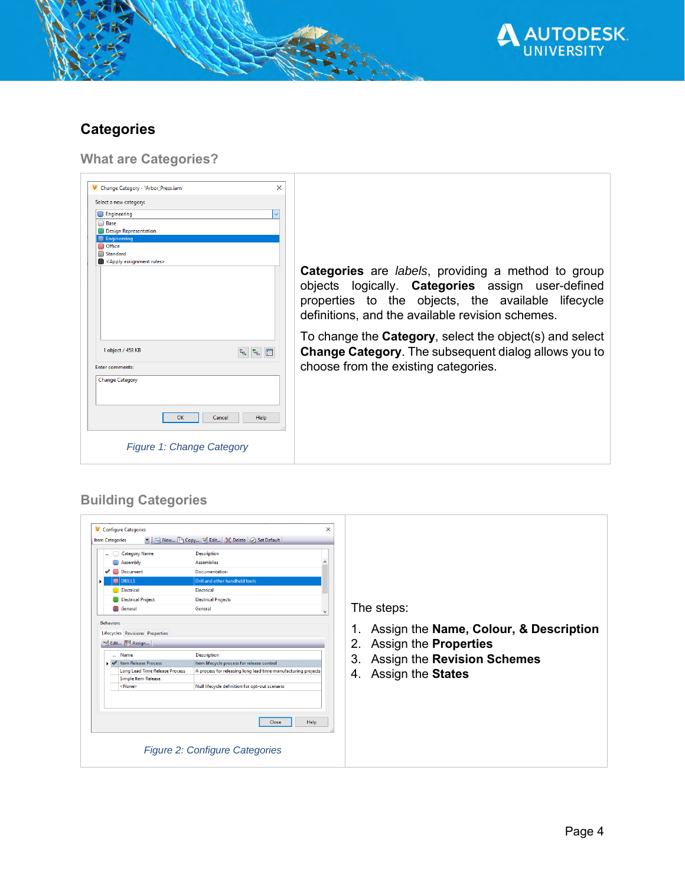

# **Categories**

**What are Categories?**

| X<br>V Change Category - 'Arbor Press.iam'                      |                                                                                                                                                                                                                                  |
|-----------------------------------------------------------------|----------------------------------------------------------------------------------------------------------------------------------------------------------------------------------------------------------------------------------|
| Select a new category:                                          |                                                                                                                                                                                                                                  |
| <b>Engineering</b>                                              |                                                                                                                                                                                                                                  |
| □ Base                                                          |                                                                                                                                                                                                                                  |
| Design Representation                                           |                                                                                                                                                                                                                                  |
| <b>Engineering</b><br><b>Office</b>                             |                                                                                                                                                                                                                                  |
| Standard                                                        |                                                                                                                                                                                                                                  |
| <apply assignment="" rules=""></apply>                          |                                                                                                                                                                                                                                  |
|                                                                 | <b>Categories</b> are <i>labels</i> , providing a method to group<br>objects logically. Categories assign user-defined<br>properties to the objects, the available lifecycle<br>definitions, and the available revision schemes. |
| 1 object / 458 KB<br>$\tau_{\rm q}$<br>$\tau_{q_{\alpha}}$<br>E | To change the <b>Category</b> , select the object(s) and select<br><b>Change Category.</b> The subsequent dialog allows you to                                                                                                   |
| <b>Enter comments:</b>                                          | choose from the existing categories.                                                                                                                                                                                             |
|                                                                 |                                                                                                                                                                                                                                  |
| <b>Change Category</b><br>OK<br>Cancel<br>Help                  |                                                                                                                                                                                                                                  |
| <b>Figure 1: Change Category</b>                                |                                                                                                                                                                                                                                  |

## **Building Categories**

| <b>V</b> Configure Categories<br><b>Item Categories</b><br><b>Category Name</b><br><b>Description</b><br>.<br><b>Assemblies</b><br>Assembly<br>Document<br>Documentation<br>✔<br>Drill and other handheld tools<br><b>DRILLS</b><br><b>Electrical</b><br>Electrical<br><b>Electrical Project</b><br><b>Electrical Projects</b><br>General<br>General<br><b>Behaviors</b> | The steps:                                                                                                        |
|--------------------------------------------------------------------------------------------------------------------------------------------------------------------------------------------------------------------------------------------------------------------------------------------------------------------------------------------------------------------------|-------------------------------------------------------------------------------------------------------------------|
| Lifecycles Revisions Properties<br>M Edit <b>[8]</b> Assign<br>Name<br><b>Description</b>                                                                                                                                                                                                                                                                                | Assign the Name, Colour, & Description<br>1.<br>2. Assign the <b>Properties</b><br>3. Assign the Revision Schemes |
| Item lifecycle process for release control<br>▶ <i>◆</i> Item Release Process<br><b>Long Lead Time Release Process</b><br>A process for releasing long lead time manufacturing projects<br><b>Simple Item Release</b><br>Null lifecycle definition for opt-out scenario<br><none></none>                                                                                 | 4. Assign the States                                                                                              |
| Help<br>Close<br><b>Figure 2: Configure Categories</b>                                                                                                                                                                                                                                                                                                                   |                                                                                                                   |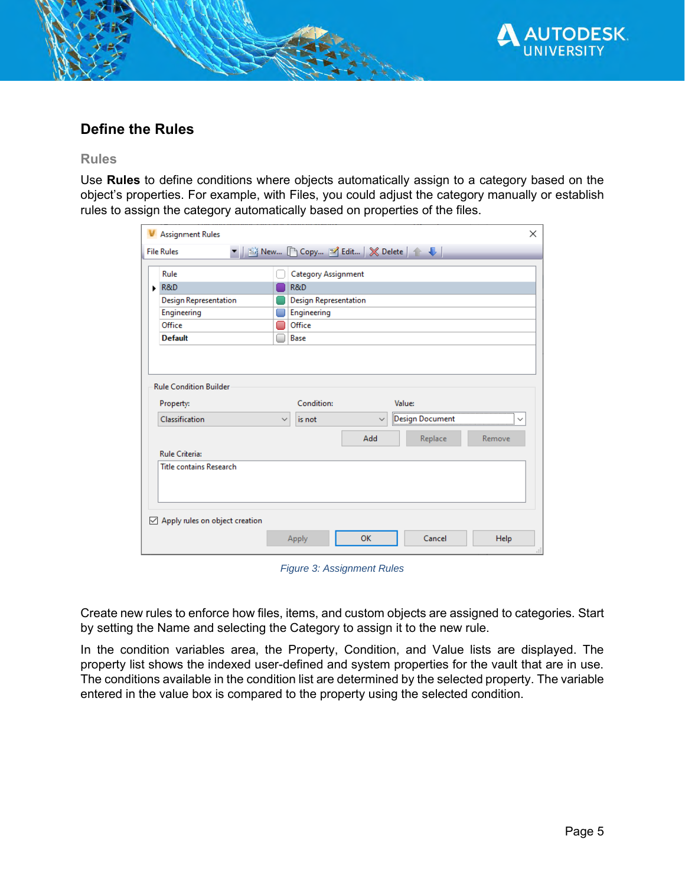

### **Define the Rules**

#### **Rules**

Use **Rules** to define conditions where objects automatically assign to a category based on the object's properties. For example, with Files, you could adjust the category manually or establish rules to assign the category automatically based on properties of the files.

|   | <b>Assignment Rules</b>               |                                      |              |                 | X            |
|---|---------------------------------------|--------------------------------------|--------------|-----------------|--------------|
|   | <b>File Rules</b>                     | ■ New 『 Copy ■ Edit   ※ Delete   ↑ ↓ |              |                 |              |
|   | Rule                                  | <b>Category Assignment</b>           |              |                 |              |
| ١ | R&D                                   | R&D                                  |              |                 |              |
|   | <b>Design Representation</b>          | <b>Design Representation</b>         |              |                 |              |
|   | Engineering                           | Engineering                          |              |                 |              |
|   | Office                                | Office                               |              |                 |              |
|   | <b>Default</b>                        | Base                                 |              |                 |              |
|   |                                       |                                      |              |                 |              |
|   |                                       |                                      |              |                 |              |
|   | <b>Rule Condition Builder</b>         |                                      |              |                 |              |
|   |                                       |                                      |              |                 |              |
|   | Property:                             | Condition:                           |              | Value:          |              |
|   | Classification                        | is not<br>$\checkmark$               | $\checkmark$ | Design Document | $\checkmark$ |
|   |                                       |                                      | Add          | Replace         | Remove       |
|   | <b>Rule Criteria:</b>                 |                                      |              |                 |              |
|   | <b>Title contains Research</b>        |                                      |              |                 |              |
|   |                                       |                                      |              |                 |              |
|   |                                       |                                      |              |                 |              |
|   |                                       |                                      |              |                 |              |
|   | $\vee$ Apply rules on object creation |                                      |              |                 |              |
|   |                                       | Apply                                | OK           | Cancel          | Help         |
|   |                                       |                                      |              |                 |              |

*Figure 3: Assignment Rules*

Create new rules to enforce how files, items, and custom objects are assigned to categories. Start by setting the Name and selecting the Category to assign it to the new rule.

In the condition variables area, the Property, Condition, and Value lists are displayed. The property list shows the indexed user-defined and system properties for the vault that are in use. The conditions available in the condition list are determined by the selected property. The variable entered in the value box is compared to the property using the selected condition.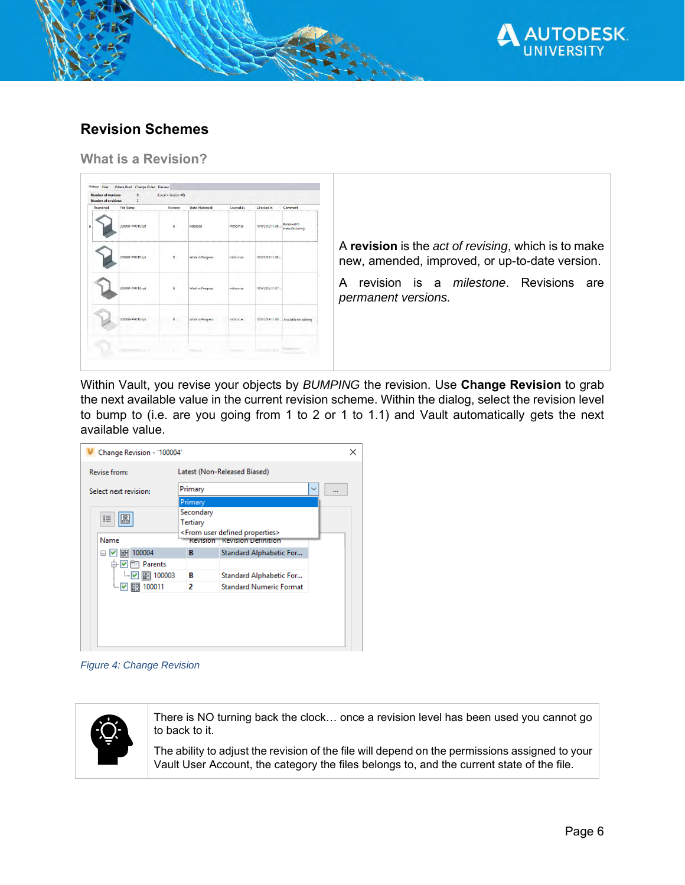

## **Revision Schemes**

**What is a Revision?**

| Thumbnad | File Name<br>20000B-PROTO.ipt | Revision<br>B | State (Historical)<br>Released | Created By<br>mthomas | Checked In<br>10/6/2019 11:08 | Comment<br>Released to<br>manufacturing |                                                                                                       |
|----------|-------------------------------|---------------|--------------------------------|-----------------------|-------------------------------|-----------------------------------------|-------------------------------------------------------------------------------------------------------|
|          | 20000B-PROTO.int              | B             | <b>Work in Progress</b>        | mthomas               | 10/6/2019 11:08.              |                                         | A revision is the act of revising, which is to make<br>new, amended, improved, or up-to-date version. |
|          | 20000B-PROTO.ipt              | £             | <b>Work in Progress</b>        | mthomas               | 10/6/2019 11:07               |                                         | revision is a <i>milestone</i> . Revisions<br>A<br>are<br>permanent versions.                         |
|          | 20000B-PROTO.jpt              |               | Work in Progress               | mthomas               |                               | 10/6/2019 11:00  Available for editing  |                                                                                                       |

Within Vault, you revise your objects by *BUMPING* the revision. Use **Change Revision** to grab the next available value in the current revision scheme. Within the dialog, select the revision level to bump to (i.e. are you going from 1 to 2 or 1 to 1.1) and Vault automatically gets the next available value.



*Figure 4: Change Revision*



There is NO turning back the clock… once a revision level has been used you cannot go to back to it.

The ability to adjust the revision of the file will depend on the permissions assigned to your Vault User Account, the category the files belongs to, and the current state of the file.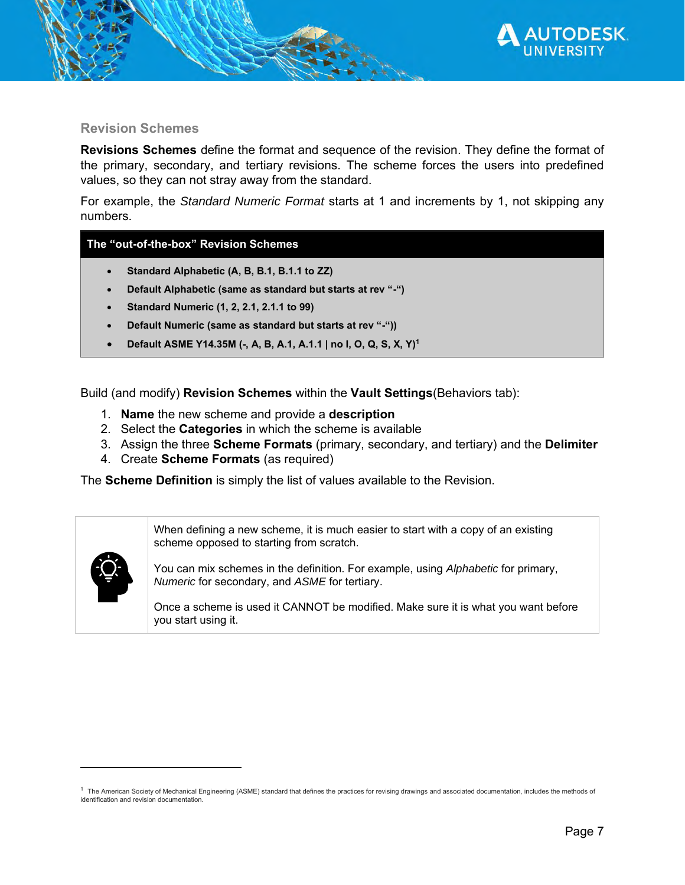

#### **Revision Schemes**

**Revisions Schemes** define the format and sequence of the revision. They define the format of the primary, secondary, and tertiary revisions. The scheme forces the users into predefined values, so they can not stray away from the standard.

For example, the *Standard Numeric Format* starts at 1 and increments by 1, not skipping any numbers.

#### **The "out-of-the-box" Revision Schemes**

- **Standard Alphabetic (A, B, B.1, B.1.1 to ZZ)**
- **Default Alphabetic (same as standard but starts at rev "-")**
- **Standard Numeric (1, 2, 2.1, 2.1.1 to 99)**
- **Default Numeric (same as standard but starts at rev "-"))**
- **Default ASME Y14.35M (-, A, B, A.1, A.1.1 | no I, O, Q, S, X, Y)<sup>1</sup>**

Build (and modify) **Revision Schemes** within the **Vault Settings**(Behaviors tab):

- 1. **Name** the new scheme and provide a **description**
- 2. Select the **Categories** in which the scheme is available
- 3. Assign the three **Scheme Formats** (primary, secondary, and tertiary) and the **Delimiter**
- 4. Create **Scheme Formats** (as required)

The **Scheme Definition** is simply the list of values available to the Revision.

When defining a new scheme, it is much easier to start with a copy of an existing scheme opposed to starting from scratch.

You can mix schemes in the definition. For example, using *Alphabetic* for primary, *Numeric* for secondary, and *ASME* for tertiary.

Once a scheme is used it CANNOT be modified. Make sure it is what you want before you start using it.

 $1$  The American Society of Mechanical Engineering (ASME) standard that defines the practices for revising drawings and associated documentation, includes the methods of identification and revision documentation.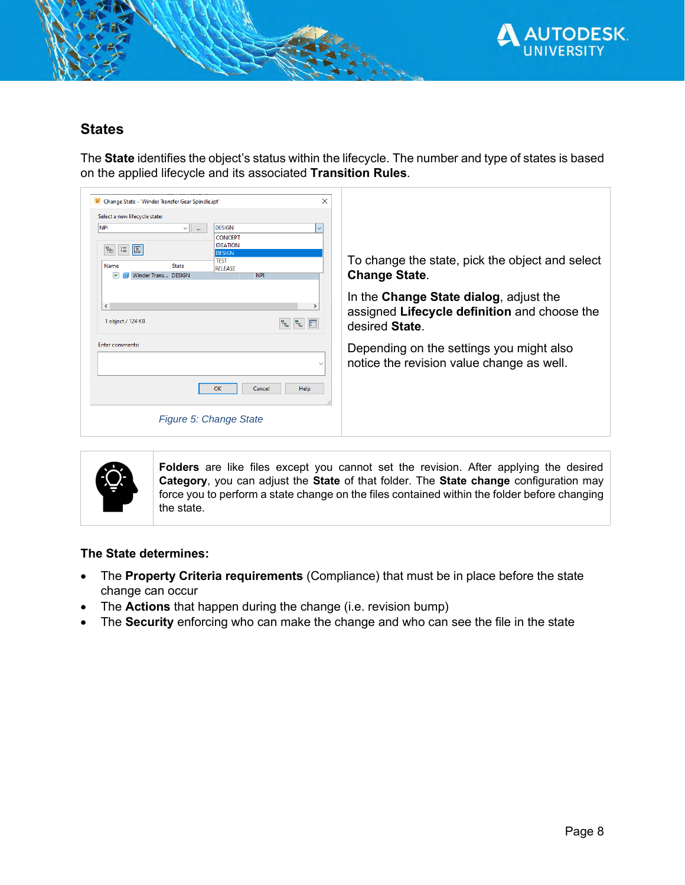

#### **States**

The **State** identifies the object's status within the lifecycle. The number and type of states is based on the applied lifecycle and its associated **Transition Rules**.

| ×<br>V Change State - 'Winder Transfer Gear Spindle.ipt'                                                                             |                                                                                                          |
|--------------------------------------------------------------------------------------------------------------------------------------|----------------------------------------------------------------------------------------------------------|
| Select a new lifecycle state:<br><b>NPI</b><br><b>DESIGN</b><br>$\vee$<br>$\checkmark$<br>$\sim$                                     |                                                                                                          |
| <b>CONCEPT</b><br><b>IDEATION</b><br>$ \mathbf{E}  \mathbf{B} $<br>$F_{\overline{16}}$                                               |                                                                                                          |
| <b>DESIGN</b><br><b>TEST</b><br><b>State</b><br>Name<br><b>RELEASE</b><br>Winder Trans DESIGN<br><b>NPI</b><br>M                     | To change the state, pick the object and select<br><b>Change State.</b>                                  |
| $\left\langle \right\rangle$<br>$\rightarrow$<br>1 object / 124 KB<br>$\mathbb{F}_{\mathbb{F}_{\mathbf{G}}}$ .<br>品<br>$\frac{1}{a}$ | In the Change State dialog, adjust the<br>assigned Lifecycle definition and choose the<br>desired State. |
| <b>Enter comments:</b><br>$\checkmark$                                                                                               | Depending on the settings you might also<br>notice the revision value change as well.                    |
| OK<br>Help<br>Cancel                                                                                                                 |                                                                                                          |
| Figure 5: Change State                                                                                                               |                                                                                                          |



**Folders** are like files except you cannot set the revision. After applying the desired **Category**, you can adjust the **State** of that folder. The **State change** configuration may force you to perform a state change on the files contained within the folder before changing the state.

#### **The State determines:**

- The **Property Criteria requirements** (Compliance) that must be in place before the state change can occur
- The **Actions** that happen during the change (i.e. revision bump)
- The **Security** enforcing who can make the change and who can see the file in the state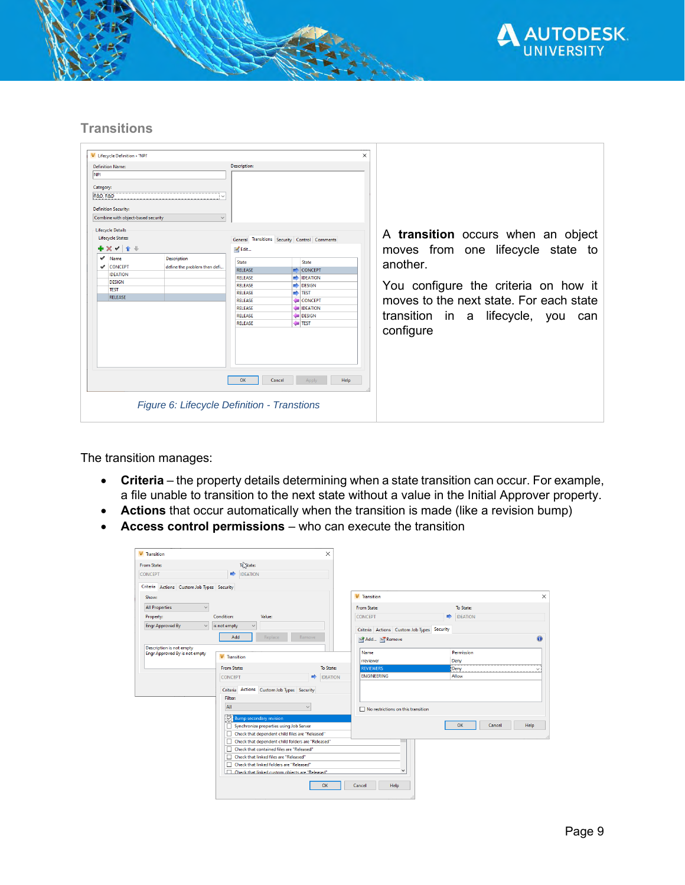

#### **Transitions**

| <b>V</b> Lifecycle Definition - 'NPI'              |                                               |                       | $\times$ |                                         |
|----------------------------------------------------|-----------------------------------------------|-----------------------|----------|-----------------------------------------|
|                                                    |                                               |                       |          |                                         |
| <b>Definition Name:</b>                            | <b>Description:</b>                           |                       |          |                                         |
| <b>NPI</b>                                         |                                               |                       |          |                                         |
| Category:                                          |                                               |                       |          |                                         |
| <b>R&amp;D, R&amp;D</b>                            |                                               |                       |          |                                         |
|                                                    |                                               |                       |          |                                         |
| <b>Definition Security:</b>                        |                                               |                       |          |                                         |
| Combine with object-based security<br>$\checkmark$ |                                               |                       |          |                                         |
| <b>Lifecycle Details</b>                           |                                               |                       |          |                                         |
| <b>Lifecycle States:</b>                           | General Transitions Security Control Comments |                       |          | A transition occurs when an object      |
| <b>* x v + +</b>                                   | M Edit                                        |                       |          |                                         |
|                                                    |                                               |                       |          | moves from one lifecycle state to       |
| $\mathcal V$ Name<br><b>Description</b>            | State                                         | <b>State</b>          |          | another.                                |
| CONCEPT<br>define the problem then defi            | <b>RELEASE</b>                                | $\Rightarrow$ CONCEPT |          |                                         |
| <b>IDEATION</b>                                    | <b>RELEASE</b>                                | <b>DEATION</b>        |          |                                         |
| <b>DESIGN</b>                                      | <b>RELEASE</b>                                | <b>DESIGN</b>         |          | You configure the criteria on how it    |
| <b>TEST</b>                                        | RELEASE                                       | $\Rightarrow$ TEST    |          |                                         |
| <b>RELEASE</b>                                     | <b>RELEASE</b>                                | CONCEPT               |          | moves to the next state. For each state |
|                                                    | <b>RELEASE</b>                                | <b>IDEATION</b>       |          |                                         |
|                                                    | <b>RELEASE</b>                                | DESIGN                |          | transition in a lifecycle, you<br>can   |
|                                                    | <b>RELEASE</b>                                | <b>TEST</b>           |          |                                         |
|                                                    |                                               |                       |          | configure                               |
|                                                    |                                               |                       |          |                                         |
|                                                    |                                               |                       |          |                                         |
|                                                    |                                               |                       |          |                                         |
|                                                    |                                               |                       |          |                                         |
|                                                    |                                               |                       |          |                                         |
|                                                    | <b>OK</b><br>Cancel                           | Help<br>Apply         |          |                                         |
|                                                    |                                               |                       |          |                                         |
|                                                    |                                               |                       |          |                                         |
| Figure 6: Lifecycle Definition - Transtions        |                                               |                       |          |                                         |
|                                                    |                                               |                       |          |                                         |
|                                                    |                                               |                       |          |                                         |

The transition manages:

- **Criteria** the property details determining when a state transition can occur. For example, a file unable to transition to the next state without a value in the Initial Approver property.
- **Actions** that occur automatically when the transition is made (like a revision bump)
- **Access control permissions** who can execute the transition

| <b>V</b> Transition                        |                                                   | $\times$        |                                            |   |                    |        |
|--------------------------------------------|---------------------------------------------------|-----------------|--------------------------------------------|---|--------------------|--------|
| From State:                                | To State:                                         |                 |                                            |   |                    |        |
| CONCEPT                                    | <b>IDEATION</b><br>$\Rightarrow$                  |                 |                                            |   |                    |        |
| Criteria Actions Custom Job Types Security |                                                   |                 |                                            |   |                    |        |
| Show:                                      |                                                   |                 | <b>V</b> Transition                        |   |                    |        |
| <b>All Properties</b>                      | $\checkmark$                                      |                 | From State:                                |   | To State:          |        |
| Property:                                  | Condition:<br>Value:                              |                 | <b>CONCEPT</b>                             | ∙ | <b>IDEATION</b>    |        |
| <b>Engr Approved By</b>                    | is not empty<br>$\checkmark$                      |                 | Criteria Actions Custom Job Types Security |   |                    |        |
|                                            | Add<br>Replace<br>Remove                          |                 | Add <b>Remove</b>                          |   |                    | A      |
| <b>Description is not empty</b>            |                                                   |                 |                                            |   |                    |        |
| Engr Approved By is not empty              | <b>V</b> Transition                               |                 | Name<br>rreviewer                          |   | Permission<br>Deny |        |
|                                            | <b>From State:</b>                                | To State:       | <b>REVIEWERS</b>                           |   | Deny               | $\sim$ |
|                                            | <br><b>CONCEPT</b>                                | <b>IDEATION</b> | <b>ENGINEERING</b>                         |   | Allow              |        |
|                                            | Criteria Actions Custom Job Types Security        |                 |                                            |   |                    |        |
|                                            | <b>Filter:</b>                                    |                 |                                            |   |                    |        |
|                                            | All<br>$\checkmark$                               |                 | $\Box$ No restrictions on this transition  |   |                    |        |
|                                            | <b>Z</b> Bump secondary revision                  |                 |                                            |   |                    |        |
|                                            | Synchronize properties using Job Server           |                 |                                            |   | OK<br>Cancel       | Help   |
|                                            | Check that dependent child files are "Released"   |                 |                                            |   |                    |        |
|                                            | Check that dependent child folders are "Released" |                 |                                            |   |                    |        |
|                                            | T Check that contained files are "Released"       |                 |                                            |   |                    |        |
|                                            | □ Check that linked files are "Released"          |                 |                                            |   |                    |        |
|                                            | □ Check that linked folders are "Released"        |                 | ×.                                         |   |                    |        |
|                                            | Check that linked custom objects are "Released"   |                 |                                            |   |                    |        |
|                                            |                                                   | OK              | Help<br>Cancel                             |   |                    |        |
|                                            |                                                   |                 |                                            |   |                    |        |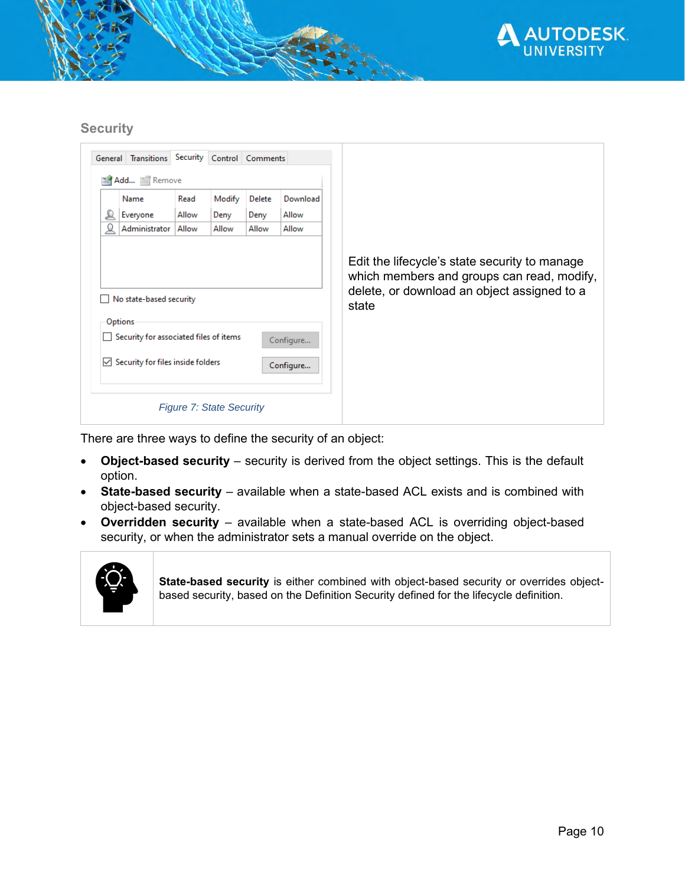

#### **Security**

|   | General Transitions                                                          | Security |                                 | Control Comments |           |                                                                                                                                                     |
|---|------------------------------------------------------------------------------|----------|---------------------------------|------------------|-----------|-----------------------------------------------------------------------------------------------------------------------------------------------------|
|   | Add TRemove                                                                  |          |                                 |                  |           |                                                                                                                                                     |
|   | Name                                                                         | Read     | Modify                          | <b>Delete</b>    | Download  |                                                                                                                                                     |
| ₽ | Everyone                                                                     | Allow    | Deny                            | Deny             | Allow     |                                                                                                                                                     |
| ω | Administrator                                                                | Allow    | Allow                           | Allow            | Allow     |                                                                                                                                                     |
|   | No state-based security<br>Options<br>Security for associated files of items |          |                                 |                  | Configure | Edit the lifecycle's state security to manage<br>which members and groups can read, modify,<br>delete, or download an object assigned to a<br>state |
|   | $\vee$ Security for files inside folders                                     |          | <b>Figure 7: State Security</b> |                  | Configure |                                                                                                                                                     |
|   |                                                                              |          |                                 |                  |           |                                                                                                                                                     |

There are three ways to define the security of an object:

- **Object-based security** security is derived from the object settings. This is the default option.
- **State-based security** available when a state-based ACL exists and is combined with object-based security.
- **Overridden security** available when a state-based ACL is overriding object-based security, or when the administrator sets a manual override on the object.



**State-based security** is either combined with object-based security or overrides objectbased security, based on the Definition Security defined for the lifecycle definition.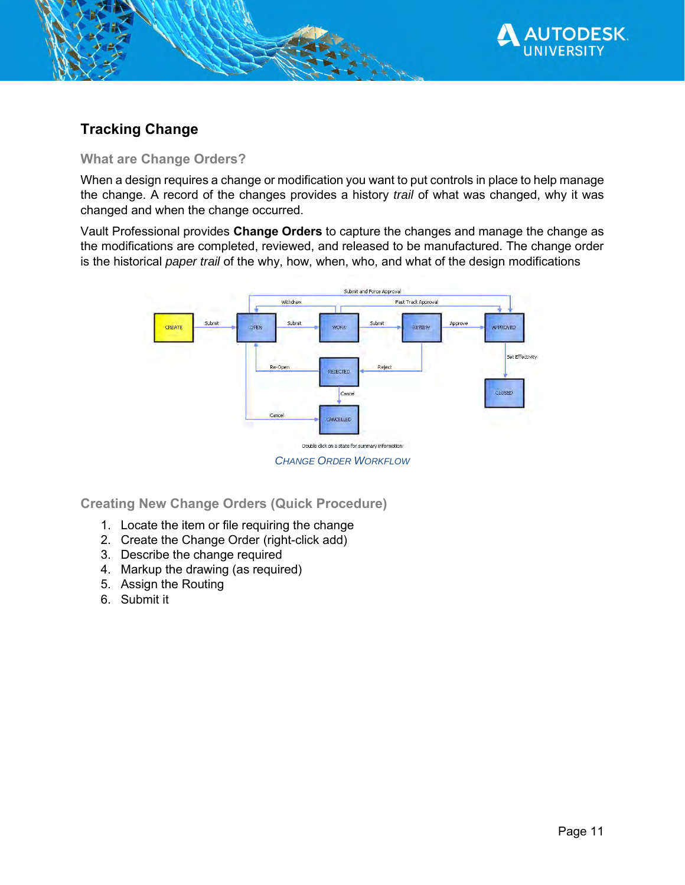

## **Tracking Change**

#### **What are Change Orders?**

When a design requires a change or modification you want to put controls in place to help manage the change. A record of the changes provides a history *trail* of what was changed, why it was changed and when the change occurred.

Vault Professional provides **Change Orders** to capture the changes and manage the change as the modifications are completed, reviewed, and released to be manufactured. The change order is the historical *paper trail* of the why, how, when, who, and what of the design modifications



**Creating New Change Orders (Quick Procedure)**

- 1. Locate the item or file requiring the change
- 2. Create the Change Order (right-click add)
- 3. Describe the change required
- 4. Markup the drawing (as required)
- 5. Assign the Routing
- 6. Submit it